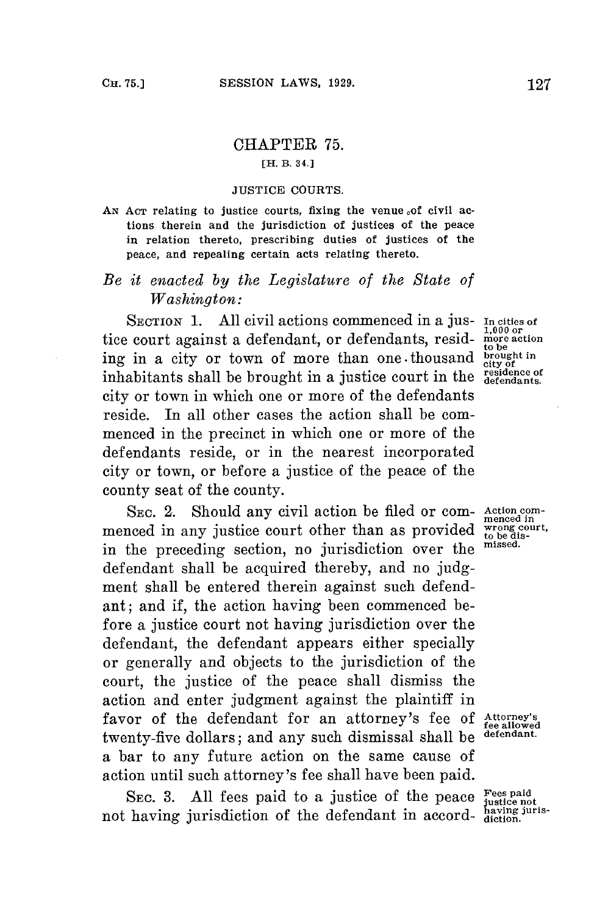## CHAPTER **75.**

## **[H. B. 34.]**

## **JUSTICE COURTS.**

AN Acr relating to justice courts, fixing the venue of civil ac**tions therein and the jurisdiction of justices of the peace in relation thereto, prescribing duties of justices of the peace, and repealing certain acts relating thereto.**

## *Be it enacted by the Legislature of the State of Washington:*

**SECTION 1.** All civil actions commenced in a jus- **In cities of**  $\frac{1}{1,000}$  or tice court against a defendant, or defendants, resid- more **action** tice court against a defendant, or defendants, resid-<br>ing in a city or town of more than one thousand **brought** in<br>inhabitants shall be brought in a justice court in the residence of<br>defendants. inhabitants shall be brought in a justice court in the city or town in which one or more of the defendants reside. In all other cases the action shall be commenced in the precinct in which one or more of the defendants reside, or in the nearest incorporated city or town, or before a justice of the peace of the county seat of the county.

SEC. 2. Should any civil action be filed or com-<br>need in any justice court other than as provided  $\frac{\text{wong court}}{\text{to be dis}}$ . menced in any justice court other than as provided wrong court, the begin of the distribution of the distribution of the distribution of the distribution of the distribution of the distribution of the distribution of the d in the preceding section, no jurisdiction over the **missed.** defendant shall be acquired thereby, and no **judg**ment shall be entered therein against such defendant; and if, the action having been commenced before a justice court not having jurisdiction over the defendant, the defendant appears either specially or generally and objects to the jurisdiction of the court, the justice of the peace shall dismiss the action and enter judgment against the plaintiff in favor of the defendant for an attorney's fee **of Attorney's fee allowed** twenty-five dollars; and any such dismissal shall be **defendant.** a bar to any future action on the same cause of action until such attorney's **fee** shall have been paid.

**SEC. 3. All** fees paid to a justice of the peace **Fees paid** not having jurisdiction of the defendant in accord- having juris-